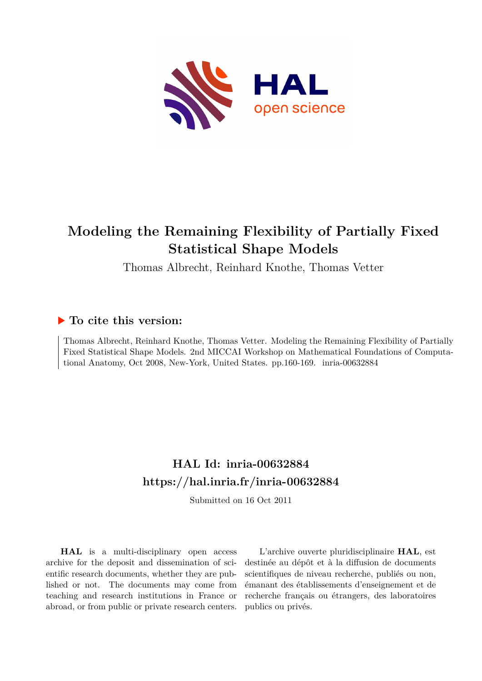

# **Modeling the Remaining Flexibility of Partially Fixed Statistical Shape Models**

Thomas Albrecht, Reinhard Knothe, Thomas Vetter

## **To cite this version:**

Thomas Albrecht, Reinhard Knothe, Thomas Vetter. Modeling the Remaining Flexibility of Partially Fixed Statistical Shape Models. 2nd MICCAI Workshop on Mathematical Foundations of Computational Anatomy, Oct 2008, New-York, United States. pp.160-169. inria-00632884

## **HAL Id: inria-00632884 <https://hal.inria.fr/inria-00632884>**

Submitted on 16 Oct 2011

**HAL** is a multi-disciplinary open access archive for the deposit and dissemination of scientific research documents, whether they are published or not. The documents may come from teaching and research institutions in France or abroad, or from public or private research centers.

L'archive ouverte pluridisciplinaire **HAL**, est destinée au dépôt et à la diffusion de documents scientifiques de niveau recherche, publiés ou non, émanant des établissements d'enseignement et de recherche français ou étrangers, des laboratoires publics ou privés.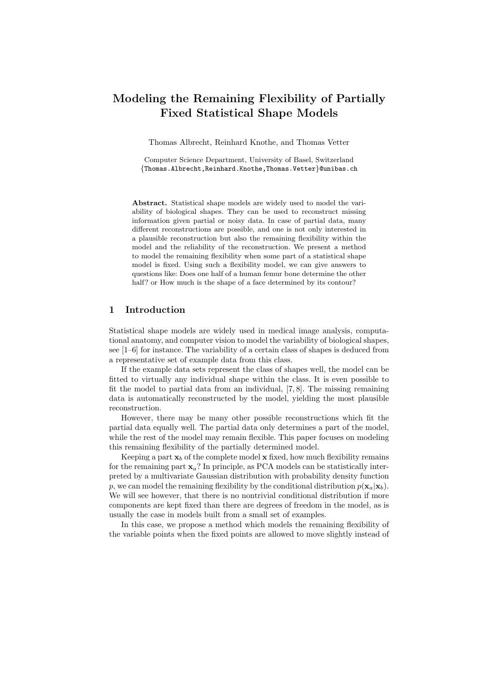## Modeling the Remaining Flexibility of Partially Fixed Statistical Shape Models

Thomas Albrecht, Reinhard Knothe, and Thomas Vetter

Computer Science Department, University of Basel, Switzerland {Thomas.Albrecht,Reinhard.Knothe,Thomas.Vetter}@unibas.ch

Abstract. Statistical shape models are widely used to model the variability of biological shapes. They can be used to reconstruct missing information given partial or noisy data. In case of partial data, many different reconstructions are possible, and one is not only interested in a plausible reconstruction but also the remaining flexibility within the model and the reliability of the reconstruction. We present a method to model the remaining flexibility when some part of a statistical shape model is fixed. Using such a flexibility model, we can give answers to questions like: Does one half of a human femur bone determine the other half? or How much is the shape of a face determined by its contour?

### 1 Introduction

Statistical shape models are widely used in medical image analysis, computational anatomy, and computer vision to model the variability of biological shapes, see [1–6] for instance. The variability of a certain class of shapes is deduced from a representative set of example data from this class.

If the example data sets represent the class of shapes well, the model can be fitted to virtually any individual shape within the class. It is even possible to fit the model to partial data from an individual, [7, 8]. The missing remaining data is automatically reconstructed by the model, yielding the most plausible reconstruction.

However, there may be many other possible reconstructions which fit the partial data equally well. The partial data only determines a part of the model, while the rest of the model may remain flexible. This paper focuses on modeling this remaining flexibility of the partially determined model.

Keeping a part  $x_b$  of the complete model x fixed, how much flexibility remains for the remaining part  $x_a$ ? In principle, as PCA models can be statistically interpreted by a multivariate Gaussian distribution with probability density function p, we can model the remaining flexibility by the conditional distribution  $p(\mathbf{x}_a|\mathbf{x}_b)$ . We will see however, that there is no nontrivial conditional distribution if more components are kept fixed than there are degrees of freedom in the model, as is usually the case in models built from a small set of examples.

In this case, we propose a method which models the remaining flexibility of the variable points when the fixed points are allowed to move slightly instead of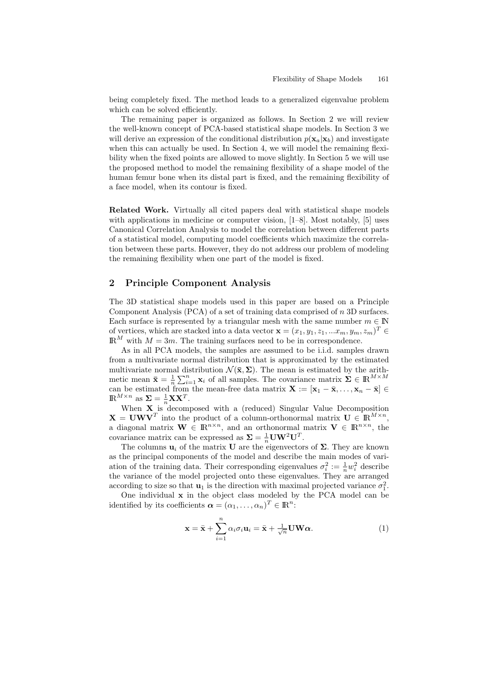being completely fixed. The method leads to a generalized eigenvalue problem which can be solved efficiently.

The remaining paper is organized as follows. In Section 2 we will review the well-known concept of PCA-based statistical shape models. In Section 3 we will derive an expression of the conditional distribution  $p(\mathbf{x}_a|\mathbf{x}_b)$  and investigate when this can actually be used. In Section 4, we will model the remaining flexibility when the fixed points are allowed to move slightly. In Section 5 we will use the proposed method to model the remaining flexibility of a shape model of the human femur bone when its distal part is fixed, and the remaining flexibility of a face model, when its contour is fixed.

Related Work. Virtually all cited papers deal with statistical shape models with applications in medicine or computer vision, [1–8]. Most notably, [5] uses Canonical Correlation Analysis to model the correlation between different parts of a statistical model, computing model coefficients which maximize the correlation between these parts. However, they do not address our problem of modeling the remaining flexibility when one part of the model is fixed.

### 2 Principle Component Analysis

The 3D statistical shape models used in this paper are based on a Principle Component Analysis (PCA) of a set of training data comprised of n 3D surfaces. Each surface is represented by a triangular mesh with the same number  $m \in \mathbb{N}$ of vertices, which are stacked into a data vector  $\mathbf{x} = (x_1, y_1, z_1, ... x_m, y_m, z_m)^T \in M$  $\mathbb{R}^M$  with  $M = 3m$ . The training surfaces need to be in correspondence.

As in all PCA models, the samples are assumed to be i.i.d. samples drawn from a multivariate normal distribution that is approximated by the estimated multivariate normal distribution  $\mathcal{N}(\bar{\mathbf{x}}, \Sigma)$ . The mean is estimated by the arithmetic mean  $\bar{\mathbf{x}} = \frac{1}{n} \sum_{i=1}^{n} \mathbf{x}_i$  of all samples. The covariance matrix  $\mathbf{\Sigma} \in \mathbb{R}^{M \times M}$ can be estimated from the mean-free data matrix  $\mathbf{X} := [\mathbf{x}_1 - \bar{\mathbf{x}}, \dots, \mathbf{x}_n - \bar{\mathbf{x}}] \in$  $\mathbb{R}^{M \times n}$  as  $\Sigma = \frac{1}{n} \mathbf{X} \mathbf{X}^T$ .

When  $X$  is decomposed with a (reduced) Singular Value Decomposition  $X = UWV<sup>T</sup>$  into the product of a column-orthonormal matrix  $U \in \mathbb{R}^{M \times n}$ , a diagonal matrix  $\mathbf{W} \in \mathbb{R}^{n \times n}$ , and an orthonormal matrix  $\mathbf{V} \in \mathbb{R}^{n \times n}$ , the covariance matrix can be expressed as  $\Sigma = \frac{1}{n} \mathbf{U} \mathbf{W}^2 \mathbf{U}^T$ .

The columns  $\mathbf{u}_i$  of the matrix **U** are the eigenvectors of  $\Sigma$ . They are known as the principal components of the model and describe the main modes of variation of the training data. Their corresponding eigenvalues  $\sigma_i^2 := \frac{1}{n} w_i^2$  describe the variance of the model projected onto these eigenvalues. They are arranged according to size so that  $\mathbf{u}_1$  is the direction with maximal projected variance  $\sigma_1^2$ .

One individual x in the object class modeled by the PCA model can be identified by its coefficients  $\boldsymbol{\alpha} = (\alpha_1, \dots, \alpha_n)^T \in \mathbb{R}^n$ :

$$
\mathbf{x} = \bar{\mathbf{x}} + \sum_{i=1}^{n} \alpha_i \sigma_i \mathbf{u}_i = \bar{\mathbf{x}} + \frac{1}{\sqrt{n}} \mathbf{U} \mathbf{W} \alpha.
$$
 (1)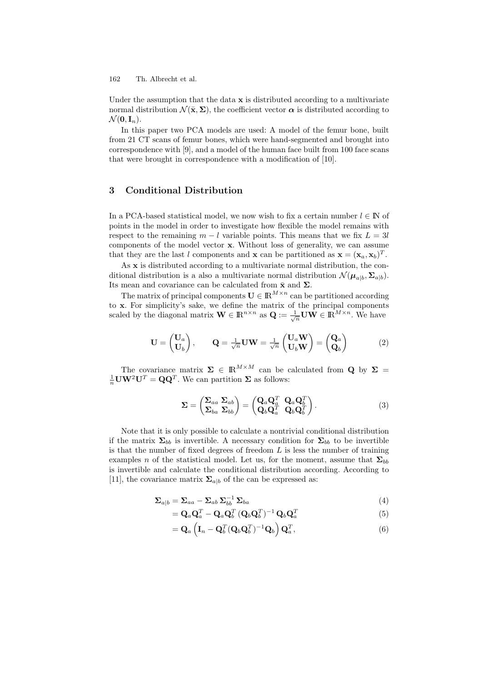162 Th. Albrecht et al.

Under the assumption that the data  $x$  is distributed according to a multivariate normal distribution  $\mathcal{N}(\bar{\mathbf{x}}, \Sigma)$ , the coefficient vector  $\alpha$  is distributed according to  $\mathcal{N}(\mathbf{0}, \mathbf{I}_n).$ 

In this paper two PCA models are used: A model of the femur bone, built from 21 CT scans of femur bones, which were hand-segmented and brought into correspondence with [9], and a model of the human face built from 100 face scans that were brought in correspondence with a modification of [10].

#### 3 Conditional Distribution

In a PCA-based statistical model, we now wish to fix a certain number  $l \in \mathbb{N}$  of points in the model in order to investigate how flexible the model remains with respect to the remaining  $m - l$  variable points. This means that we fix  $L = 3l$ components of the model vector x. Without loss of generality, we can assume that they are the last l components and **x** can be partitioned as  $\mathbf{x} = (\mathbf{x}_a, \mathbf{x}_b)^T$ .

As x is distributed according to a multivariate normal distribution, the conditional distribution is a also a multivariate normal distribution  $\mathcal{N}(\mu_{a|b}, \Sigma_{a|b})$ . Its mean and covariance can be calculated from  $\bar{\mathbf{x}}$  and  $\Sigma$ .

The matrix of principal components  $\mathbf{U} \in \mathbb{R}^{M \times n}$  can be partitioned according to x. For simplicity's sake, we define the matrix of the principal components scaled by the diagonal matrix  $\mathbf{W} \in \mathbb{R}^{n \times n}$  as  $\mathbf{Q} := \frac{1}{\sqrt{n}} \mathbf{U} \mathbf{W} \in \mathbb{R}^{M \times n}$ . We have

$$
\mathbf{U} = \begin{pmatrix} \mathbf{U}_a \\ \mathbf{U}_b \end{pmatrix}, \qquad \mathbf{Q} = \frac{1}{\sqrt{n}} \mathbf{U} \mathbf{W} = \frac{1}{\sqrt{n}} \begin{pmatrix} \mathbf{U}_a \mathbf{W} \\ \mathbf{U}_b \mathbf{W} \end{pmatrix} = \begin{pmatrix} \mathbf{Q}_a \\ \mathbf{Q}_b \end{pmatrix} \tag{2}
$$

The covariance matrix  $\Sigma \in \mathbb{R}^{M \times M}$  can be calculated from Q by  $\Sigma =$  $\frac{1}{n}$ **UW**<sup>2</sup>**U**<sup>T</sup> = **QQ**<sup>T</sup>. We can partition **Σ** as follows:

$$
\Sigma = \begin{pmatrix} \Sigma_{aa} \Sigma_{ab} \\ \Sigma_{ba} \Sigma_{bb} \end{pmatrix} = \begin{pmatrix} \mathbf{Q}_a \mathbf{Q}_a^T & \mathbf{Q}_a \mathbf{Q}_b^T \\ \mathbf{Q}_b \mathbf{Q}_a^T & \mathbf{Q}_b \mathbf{Q}_b^T \end{pmatrix} . \tag{3}
$$

Note that it is only possible to calculate a nontrivial conditional distribution if the matrix  $\Sigma_{bb}$  is invertible. A necessary condition for  $\Sigma_{bb}$  to be invertible is that the number of fixed degrees of freedom  $L$  is less the number of training examples n of the statistical model. Let us, for the moment, assume that  $\Sigma_{bb}$ is invertible and calculate the conditional distribution according. According to [11], the covariance matrix  $\Sigma_{a|b}$  of the can be expressed as:

$$
\Sigma_{a|b} = \Sigma_{aa} - \Sigma_{ab} \Sigma_{bb}^{-1} \Sigma_{ba}
$$
\n<sup>(4)</sup>

$$
= \mathbf{Q}_a \mathbf{Q}_a^T - \mathbf{Q}_a \mathbf{Q}_b^T (\mathbf{Q}_b \mathbf{Q}_b^T)^{-1} \mathbf{Q}_b \mathbf{Q}_a^T
$$
\n(5)

$$
= \mathbf{Q}_a \left( \mathbf{I}_n - \mathbf{Q}_b^T (\mathbf{Q}_b \mathbf{Q}_b^T)^{-1} \mathbf{Q}_b \right) \mathbf{Q}_a^T, \tag{6}
$$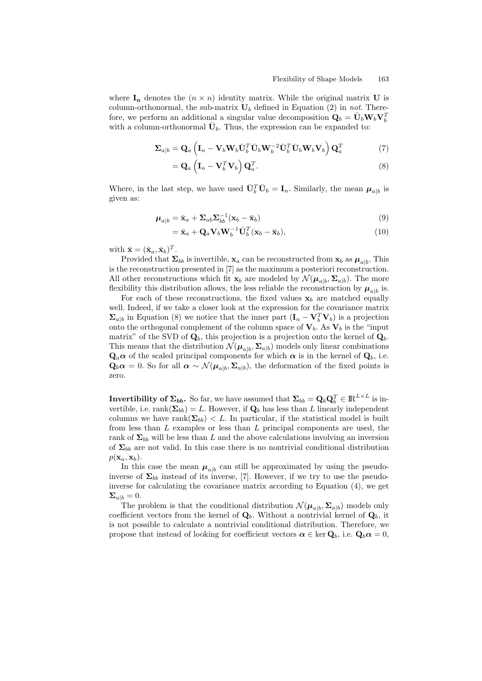where  $I_n$  denotes the  $(n \times n)$  identity matrix. While the original matrix U is column-orthonormal, the sub-matrix  $U_b$  defined in Equation (2) in not. Therefore, we perform an additional a singular value decomposition  $\dot{\mathbf{Q}}_b = \bar{\mathbf{U}}_b \mathbf{W}_b \mathbf{V}_b^T$ with a column-orthonormal  $\bar{U}_b$ . Thus, the expression can be expanded to:

$$
\Sigma_{a|b} = \mathbf{Q}_a \left( \mathbf{I}_n - \mathbf{V}_b \mathbf{W}_b \bar{\mathbf{U}}_b^T \bar{\mathbf{U}}_b \mathbf{W}_b^{-2} \bar{\mathbf{U}}_b^T \bar{\mathbf{U}}_b \mathbf{W}_b \mathbf{V}_b \right) \mathbf{Q}_a^T
$$
 (7)

$$
= \mathbf{Q}_a \left( \mathbf{I}_n - \mathbf{V}_b^T \mathbf{V}_b \right) \mathbf{Q}_a^T.
$$
 (8)

Where, in the last step, we have used  $\bar{\mathbf{U}}_b^T \bar{\mathbf{U}}_b = \mathbf{I}_n$ . Similarly, the mean  $\boldsymbol{\mu}_{a|b}$  is given as:

$$
\boldsymbol{\mu}_{a|b} = \bar{\mathbf{x}}_a + \boldsymbol{\Sigma}_{ab} \boldsymbol{\Sigma}_{bb}^{-1} (\mathbf{x}_b - \bar{\mathbf{x}}_b)
$$
\n(9)

$$
= \bar{\mathbf{x}}_a + \mathbf{Q}_a \mathbf{V}_b \mathbf{W}_b^{-1} \bar{\mathbf{U}}_b^T (\mathbf{x}_b - \bar{\mathbf{x}}_b), \tag{10}
$$

with  $\bar{\mathbf{x}} = (\bar{\mathbf{x}}_a, \bar{\mathbf{x}}_b)^T$ .

Provided that  $\Sigma_{bb}$  is invertible,  $\mathbf{x}_a$  can be reconstructed from  $\mathbf{x}_b$  as  $\boldsymbol{\mu}_{a|b}$ . This is the reconstruction presented in [7] as the maximum a posteriori reconstruction. All other reconstructions which fit  $\mathbf{x}_b$  are modeled by  $\mathcal{N}(\boldsymbol{\mu}_{a|b}, \boldsymbol{\Sigma}_{a|b})$ . The more flexibility this distribution allows, the less reliable the reconstruction by  $\mu_{a|b}$  is.

For each of these reconstructions, the fixed values  $x_b$  are matched equally well. Indeed, if we take a closer look at the expression for the covariance matrix  $\Sigma_{a|b}$  in Equation (8) we notice that the inner part  $(I_n - V_b^T V_b)$  is a projection onto the orthogonal complement of the column space of  $V_b$ . As  $V_b$  is the "input matrix" of the SVD of  $\mathbf{Q}_b$ , this projection is a projection onto the kernel of  $\mathbf{Q}_b$ . This means that the distribution  $\mathcal{N}(\mu_{a|b}, \Sigma_{a|b})$  models only linear combinations  $\mathbf{Q}_a \alpha$  of the scaled principal components for which  $\alpha$  is in the kernel of  $\mathbf{Q}_b$ , i.e.  $\mathbf{Q}_b \alpha = 0$ . So for all  $\alpha \sim \mathcal{N}(\mu_{a|b}, \Sigma_{a|b})$ , the deformation of the fixed points is zero.

**Invertibility of**  $\Sigma_{bb}$ **.** So far, we have assumed that  $\Sigma_{bb} = Q_b Q_b^T \in \mathbb{R}^{L \times L}$  is invertible, i.e. rank $(\mathbf{\Sigma}_{bb}) = L$ . However, if  $\mathbf{Q}_b$  has less than L linearly independent columns we have rank $(\Sigma_{bb}) < L$ . In particular, if the statistical model is built from less than  $L$  examples or less than  $L$  principal components are used, the rank of  $\Sigma_{bb}$  will be less than L and the above calculations involving an inversion of  $\Sigma_{bb}$  are not valid. In this case there is no nontrivial conditional distribution  $p(\mathbf{x}_a, \mathbf{x}_b)$ .

In this case the mean  $\mu_{a|b}$  can still be approximated by using the pseudoinverse of  $\Sigma_{bb}$  instead of its inverse, [7]. However, if we try to use the pseudoinverse for calculating the covariance matrix according to Equation (4), we get  $\Sigma_{a|b}=0.$ 

The problem is that the conditional distribution  $\mathcal{N}(\mu_{a|b}, \Sigma_{a|b})$  models only coefficient vectors from the kernel of  $\mathbf{Q}_b$ . Without a nontrivial kernel of  $\mathbf{Q}_b$ , it is not possible to calculate a nontrivial conditional distribution. Therefore, we propose that instead of looking for coefficient vectors  $\alpha \in \text{ker } \mathbf{Q}_b$ , i.e.  $\mathbf{Q}_b \alpha = 0$ ,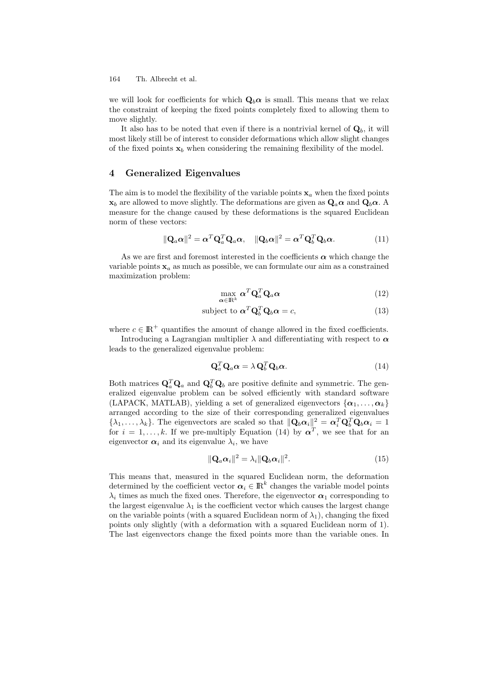164 Th. Albrecht et al.

we will look for coefficients for which  $\mathbf{Q}_b \alpha$  is small. This means that we relax the constraint of keeping the fixed points completely fixed to allowing them to move slightly.

It also has to be noted that even if there is a nontrivial kernel of  $\mathbf{Q}_b$ , it will most likely still be of interest to consider deformations which allow slight changes of the fixed points  $x_b$  when considering the remaining flexibility of the model.

#### 4 Generalized Eigenvalues

The aim is to model the flexibility of the variable points  $x_a$  when the fixed points  $x_b$  are allowed to move slightly. The deformations are given as  $\mathbf{Q}_a \alpha$  and  $\mathbf{Q}_b \alpha$ . A measure for the change caused by these deformations is the squared Euclidean norm of these vectors:

$$
\|\mathbf{Q}_a\boldsymbol{\alpha}\|^2 = \boldsymbol{\alpha}^T \mathbf{Q}_a^T \mathbf{Q}_a \boldsymbol{\alpha}, \quad \|\mathbf{Q}_b\boldsymbol{\alpha}\|^2 = \boldsymbol{\alpha}^T \mathbf{Q}_b^T \mathbf{Q}_b \boldsymbol{\alpha}.
$$
 (11)

As we are first and foremost interested in the coefficients  $\alpha$  which change the variable points  $x_a$  as much as possible, we can formulate our aim as a constrained maximization problem:

$$
\max_{\alpha \in \mathbb{R}^k} \alpha^T \mathbf{Q}_a^T \mathbf{Q}_a \alpha \tag{12}
$$

$$
subject to \t\boldsymbol{\alpha}^T \mathbf{Q}_b^T \mathbf{Q}_b \boldsymbol{\alpha} = c,
$$
\n(13)

where  $c \in \mathbb{R}^+$  quantifies the amount of change allowed in the fixed coefficients.

Introducing a Lagrangian multiplier  $\lambda$  and differentiating with respect to  $\alpha$ leads to the generalized eigenvalue problem:

$$
\mathbf{Q}_a^T \mathbf{Q}_a \boldsymbol{\alpha} = \lambda \mathbf{Q}_b^T \mathbf{Q}_b \boldsymbol{\alpha}.
$$
 (14)

Both matrices  $\mathbf{Q}_a^T \mathbf{Q}_a$  and  $\mathbf{Q}_b^T \mathbf{Q}_b$  are positive definite and symmetric. The generalized eigenvalue problem can be solved efficiently with standard software (LAPACK, MATLAB), yielding a set of generalized eigenvectors  $\{\boldsymbol{\alpha}_1, \ldots, \boldsymbol{\alpha}_k\}$ arranged according to the size of their corresponding generalized eigenvalues  $\{\lambda_1,\ldots,\lambda_k\}$ . The eigenvectors are scaled so that  $\|\mathbf{Q}_b\alpha_i\|^2 = \alpha_i^T\mathbf{Q}_b^T\mathbf{Q}_b\alpha_i = 1$ for  $i = 1, \ldots, k$ . If we pre-multiply Equation (14) by  $\alpha^T$ , we see that for an eigenvector  $\alpha_i$  and its eigenvalue  $\lambda_i$ , we have

$$
\|\mathbf{Q}_a\boldsymbol{\alpha}_i\|^2 = \lambda_i \|\mathbf{Q}_b\boldsymbol{\alpha}_i\|^2. \tag{15}
$$

This means that, measured in the squared Euclidean norm, the deformation determined by the coefficient vector  $\alpha_i \in \mathbb{R}^k$  changes the variable model points  $\lambda_i$  times as much the fixed ones. Therefore, the eigenvector  $\alpha_1$  corresponding to the largest eigenvalue  $\lambda_1$  is the coefficient vector which causes the largest change on the variable points (with a squared Euclidean norm of  $\lambda_1$ ), changing the fixed points only slightly (with a deformation with a squared Euclidean norm of 1). The last eigenvectors change the fixed points more than the variable ones. In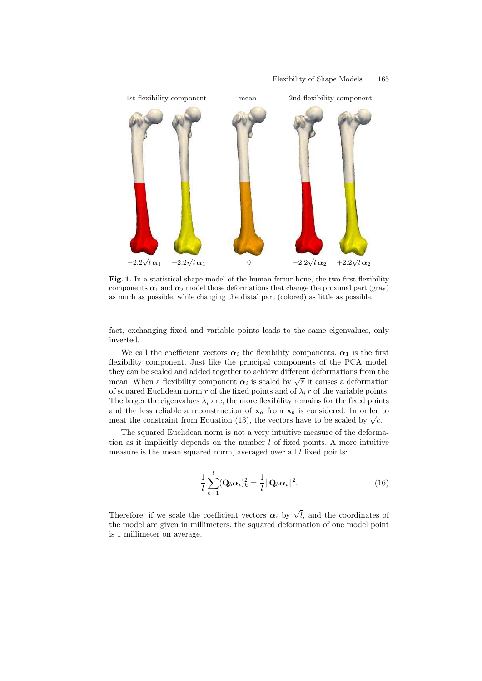

Fig. 1. In a statistical shape model of the human femur bone, the two first flexibility components  $\alpha_1$  and  $\alpha_2$  model those deformations that change the proximal part (gray) as much as possible, while changing the distal part (colored) as little as possible.

fact, exchanging fixed and variable points leads to the same eigenvalues, only inverted.

We call the coefficient vectors  $\alpha_i$  the flexibility components.  $\alpha_1$  is the first flexibility component. Just like the principal components of the PCA model, they can be scaled and added together to achieve different deformations from the mean. When a flexibility component  $\alpha_i$  is scaled by  $\sqrt{r}$  it causes a deformation of squared Euclidean norm r of the fixed points and of  $\lambda_i$  r of the variable points. The larger the eigenvalues  $\lambda_i$  are, the more flexibility remains for the fixed points and the less reliable a reconstruction of  $x_a$  from  $x_b$  is considered. In order to meat the constraint from Equation (13), the vectors have to be scaled by  $\sqrt{c}$ .

The squared Euclidean norm is not a very intuitive measure of the deformation as it implicitly depends on the number  $l$  of fixed points. A more intuitive measure is the mean squared norm, averaged over all  $l$  fixed points:

$$
\frac{1}{l}\sum_{k=1}^{l}(\mathbf{Q}_b\boldsymbol{\alpha}_i)_k^2 = \frac{1}{l}\|\mathbf{Q}_b\boldsymbol{\alpha}_i\|^2.
$$
 (16)

Therefore, if we scale the coefficient vectors  $\alpha_i$  by  $\sqrt{l}$ , and the coordinates of the model are given in millimeters, the squared deformation of one model point is 1 millimeter on average.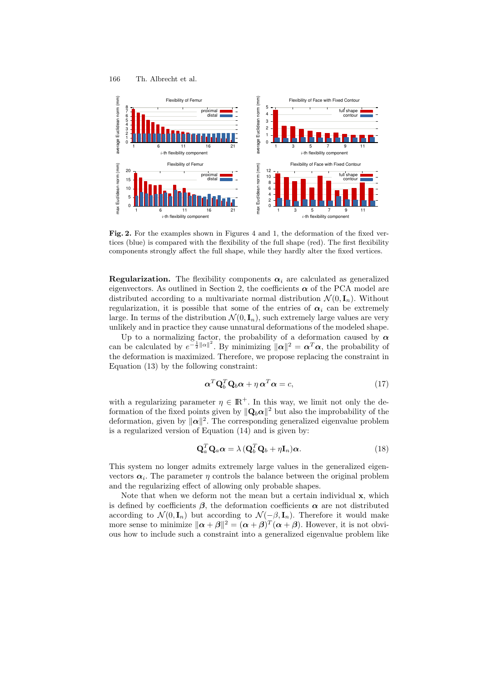#### 166 Th. Albrecht et al.



Fig. 2. For the examples shown in Figures 4 and 1, the deformation of the fixed vertices (blue) is compared with the flexibility of the full shape (red). The first flexibility components strongly affect the full shape, while they hardly alter the fixed vertices.

**Regularization.** The flexibility components  $\alpha_i$  are calculated as generalized eigenvectors. As outlined in Section 2, the coefficients  $\alpha$  of the PCA model are distributed according to a multivariate normal distribution  $\mathcal{N}(0, \mathbf{I}_n)$ . Without regularization, it is possible that some of the entries of  $\alpha_i$  can be extremely large. In terms of the distribution  $\mathcal{N}(0, \mathbf{I}_n)$ , such extremely large values are very unlikely and in practice they cause unnatural deformations of the modeled shape.

Up to a normalizing factor, the probability of a deformation caused by  $\alpha$ can be calculated by  $e^{-\frac{1}{2}||\alpha||^2}$ . By minimizing  $||\alpha||^2 = \alpha^T \alpha$ , the probability of the deformation is maximized. Therefore, we propose replacing the constraint in Equation (13) by the following constraint:

$$
\alpha^T \mathbf{Q}_b^T \mathbf{Q}_b \alpha + \eta \alpha^T \alpha = c,\tag{17}
$$

with a regularizing parameter  $\eta \in \mathbb{R}^+$ . In this way, we limit not only the deformation of the fixed points given by  $||\mathbf{Q}_b \alpha||^2$  but also the improbability of the deformation, given by  $\|\alpha\|^2$ . The corresponding generalized eigenvalue problem is a regularized version of Equation (14) and is given by:

$$
\mathbf{Q}_a^T \mathbf{Q}_a \alpha = \lambda \left( \mathbf{Q}_b^T \mathbf{Q}_b + \eta \mathbf{I}_n \right) \alpha. \tag{18}
$$

This system no longer admits extremely large values in the generalized eigenvectors  $\alpha_i$ . The parameter  $\eta$  controls the balance between the original problem and the regularizing effect of allowing only probable shapes.

Note that when we deform not the mean but a certain individual x, which is defined by coefficients  $\beta$ , the deformation coefficients  $\alpha$  are not distributed according to  $\mathcal{N}(0, \mathbf{I}_n)$  but according to  $\mathcal{N}(-\beta, \mathbf{I}_n)$ . Therefore it would make more sense to minimize  $\|\boldsymbol{\alpha}+\boldsymbol{\beta}\|^2 = (\boldsymbol{\alpha}+\boldsymbol{\beta})^T(\boldsymbol{\alpha}+\boldsymbol{\beta})$ . However, it is not obvious how to include such a constraint into a generalized eigenvalue problem like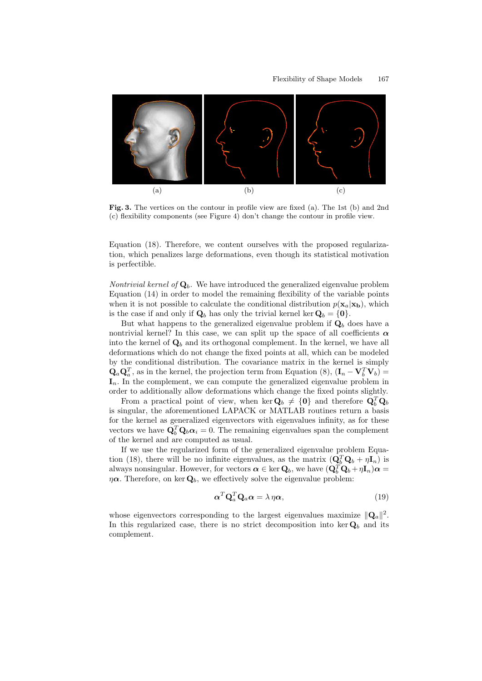

Fig. 3. The vertices on the contour in profile view are fixed (a). The 1st (b) and 2nd (c) flexibility components (see Figure 4) don't change the contour in profile view.

Equation (18). Therefore, we content ourselves with the proposed regularization, which penalizes large deformations, even though its statistical motivation is perfectible.

*Nontrivial kernel of*  $\mathbf{Q}_b$ . We have introduced the generalized eigenvalue problem Equation (14) in order to model the remaining flexibility of the variable points when it is not possible to calculate the conditional distribution  $p(\mathbf{x}_a|\mathbf{x}_b)$ , which is the case if and only if  $\mathbf{Q}_b$  has only the trivial kernel ker  $\mathbf{Q}_b = \{\mathbf{0}\}.$ 

But what happens to the generalized eigenvalue problem if  $\mathbf{Q}_b$  does have a nontrivial kernel? In this case, we can split up the space of all coefficients  $\alpha$ into the kernel of  $\mathbf{Q}_b$  and its orthogonal complement. In the kernel, we have all deformations which do not change the fixed points at all, which can be modeled by the conditional distribution. The covariance matrix in the kernel is simply  $\mathbf{Q}_a \mathbf{Q}_a^T$ , as in the kernel, the projection term from Equation (8),  $(\mathbf{I}_n - \mathbf{V}_b^T \mathbf{V}_b)$  =  $I_n$ . In the complement, we can compute the generalized eigenvalue problem in order to additionally allow deformations which change the fixed points slightly.

From a practical point of view, when ker  $\mathbf{Q}_b \neq \{0\}$  and therefore  $\mathbf{Q}_b^T \mathbf{Q}_b$ is singular, the aforementioned LAPACK or MATLAB routines return a basis for the kernel as generalized eigenvectors with eigenvalues infinity, as for these vectors we have  $\tilde{\mathbf{Q}}_b^T \mathbf{Q}_b \alpha_i = 0$ . The remaining eigenvalues span the complement of the kernel and are computed as usual.

If we use the regularized form of the generalized eigenvalue problem Equation (18), there will be no infinite eigenvalues, as the matrix  $(Q_b^T Q_b + \eta I_n)$  is always nonsingular. However, for vectors  $\alpha \in \ker \mathbf{Q}_b$ , we have  $(\mathbf{Q}_b^T \mathbf{Q}_b + \eta \mathbf{I}_n)\alpha =$  $\eta \alpha$ . Therefore, on ker  $\mathbf{Q}_b$ , we effectively solve the eigenvalue problem:

$$
\alpha^T \mathbf{Q}_a^T \mathbf{Q}_a \alpha = \lambda \eta \alpha, \qquad (19)
$$

whose eigenvectors corresponding to the largest eigenvalues maximize  $\|\mathbf{Q}_a\|^2$ . In this regularized case, there is no strict decomposition into ker  $\mathbf{Q}_b$  and its complement.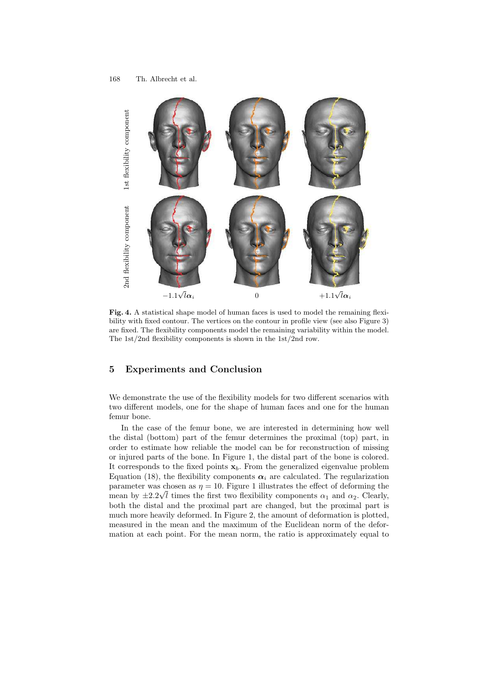

Fig. 4. A statistical shape model of human faces is used to model the remaining flexibility with fixed contour. The vertices on the contour in profile view (see also Figure 3) are fixed. The flexibility components model the remaining variability within the model. The 1st/2nd flexibility components is shown in the 1st/2nd row.

#### 5 Experiments and Conclusion

We demonstrate the use of the flexibility models for two different scenarios with two different models, one for the shape of human faces and one for the human femur bone.

In the case of the femur bone, we are interested in determining how well the distal (bottom) part of the femur determines the proximal (top) part, in order to estimate how reliable the model can be for reconstruction of missing or injured parts of the bone. In Figure 1, the distal part of the bone is colored. It corresponds to the fixed points  $x_b$ . From the generalized eigenvalue problem Equation (18), the flexibility components  $\alpha_i$  are calculated. The regularization parameter was chosen as  $\eta = 10$ . Figure 1 illustrates the effect of deforming the mean by  $\pm 2.2\sqrt{l}$  times the first two flexibility components  $\alpha_1$  and  $\alpha_2$ . Clearly, both the distal and the proximal part are changed, but the proximal part is much more heavily deformed. In Figure 2, the amount of deformation is plotted, measured in the mean and the maximum of the Euclidean norm of the deformation at each point. For the mean norm, the ratio is approximately equal to